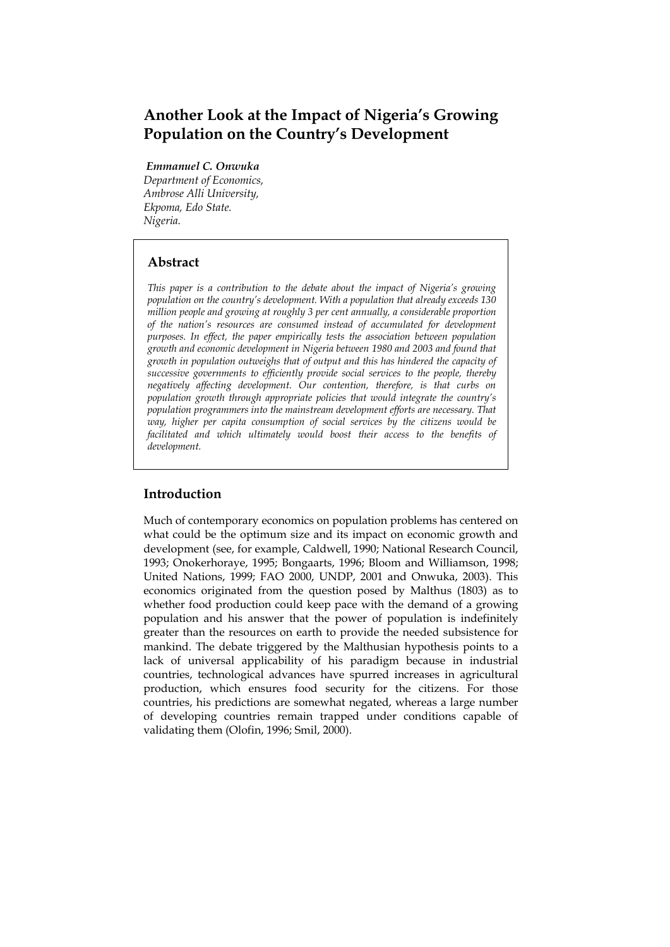# **Another Look at the Impact of Nigeria's Growing Population on the Country's Development**

 *Emmanuel C. Onwuka* 

*Department of Economics, Ambrose Alli University, Ekpoma, Edo State. Nigeria.* 

## **Abstract**

*This paper is a contribution to the debate about the impact of Nigeria's growing population on the country's development. With a population that already exceeds 130 million people and growing at roughly 3 per cent annually, a considerable proportion of the nation's resources are consumed instead of accumulated for development purposes. In effect, the paper empirically tests the association between population growth and economic development in Nigeria between 1980 and 2003 and found that growth in population outweighs that of output and this has hindered the capacity of successive governments to efficiently provide social services to the people, thereby negatively affecting development. Our contention, therefore, is that curbs on population growth through appropriate policies that would integrate the country's population programmers into the mainstream development efforts are necessary. That way, higher per capita consumption of social services by the citizens would be facilitated and which ultimately would boost their access to the benefits of development.* 

## **Introduction**

Much of contemporary economics on population problems has centered on what could be the optimum size and its impact on economic growth and development (see, for example, Caldwell, 1990; National Research Council, 1993; Onokerhoraye, 1995; Bongaarts, 1996; Bloom and Williamson, 1998; United Nations, 1999; FAO 2000, UNDP, 2001 and Onwuka, 2003). This economics originated from the question posed by Malthus (1803) as to whether food production could keep pace with the demand of a growing population and his answer that the power of population is indefinitely greater than the resources on earth to provide the needed subsistence for mankind. The debate triggered by the Malthusian hypothesis points to a lack of universal applicability of his paradigm because in industrial countries, technological advances have spurred increases in agricultural production, which ensures food security for the citizens. For those countries, his predictions are somewhat negated, whereas a large number of developing countries remain trapped under conditions capable of validating them (Olofin, 1996; Smil, 2000).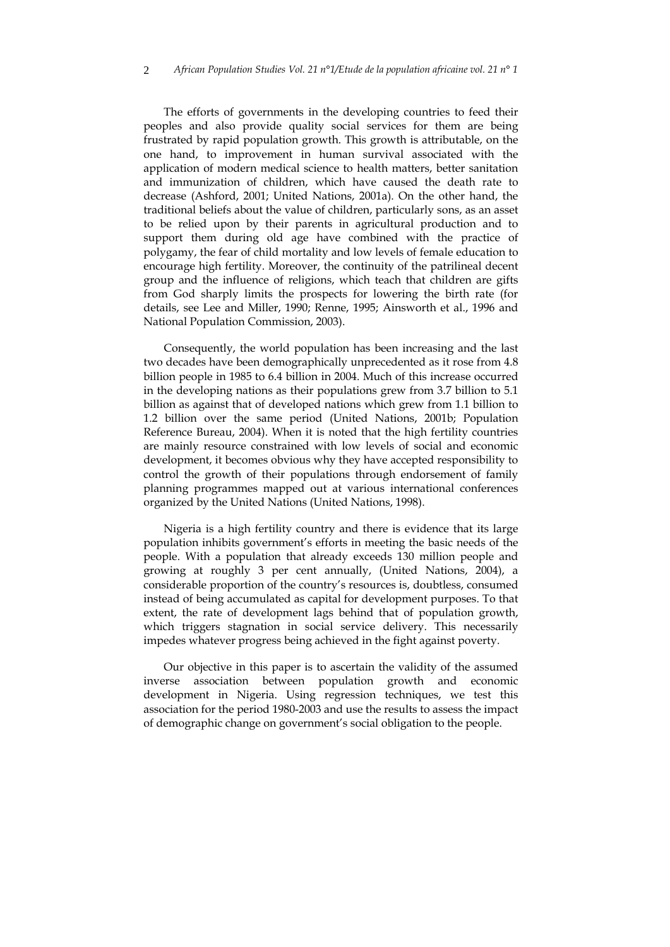The efforts of governments in the developing countries to feed their peoples and also provide quality social services for them are being frustrated by rapid population growth. This growth is attributable, on the one hand, to improvement in human survival associated with the application of modern medical science to health matters, better sanitation and immunization of children, which have caused the death rate to decrease (Ashford, 2001; United Nations, 2001a). On the other hand, the traditional beliefs about the value of children, particularly sons, as an asset to be relied upon by their parents in agricultural production and to support them during old age have combined with the practice of polygamy, the fear of child mortality and low levels of female education to encourage high fertility. Moreover, the continuity of the patrilineal decent group and the influence of religions, which teach that children are gifts from God sharply limits the prospects for lowering the birth rate (for details, see Lee and Miller, 1990; Renne, 1995; Ainsworth et al., 1996 and National Population Commission, 2003).

Consequently, the world population has been increasing and the last two decades have been demographically unprecedented as it rose from 4.8 billion people in 1985 to 6.4 billion in 2004. Much of this increase occurred in the developing nations as their populations grew from 3.7 billion to 5.1 billion as against that of developed nations which grew from 1.1 billion to 1.2 billion over the same period (United Nations, 2001b; Population Reference Bureau, 2004). When it is noted that the high fertility countries are mainly resource constrained with low levels of social and economic development, it becomes obvious why they have accepted responsibility to control the growth of their populations through endorsement of family planning programmes mapped out at various international conferences organized by the United Nations (United Nations, 1998).

Nigeria is a high fertility country and there is evidence that its large population inhibits government's efforts in meeting the basic needs of the people. With a population that already exceeds 130 million people and growing at roughly 3 per cent annually, (United Nations, 2004), a considerable proportion of the country's resources is, doubtless, consumed instead of being accumulated as capital for development purposes. To that extent, the rate of development lags behind that of population growth, which triggers stagnation in social service delivery. This necessarily impedes whatever progress being achieved in the fight against poverty.

Our objective in this paper is to ascertain the validity of the assumed inverse association between population growth and economic development in Nigeria. Using regression techniques, we test this association for the period 1980-2003 and use the results to assess the impact of demographic change on government's social obligation to the people.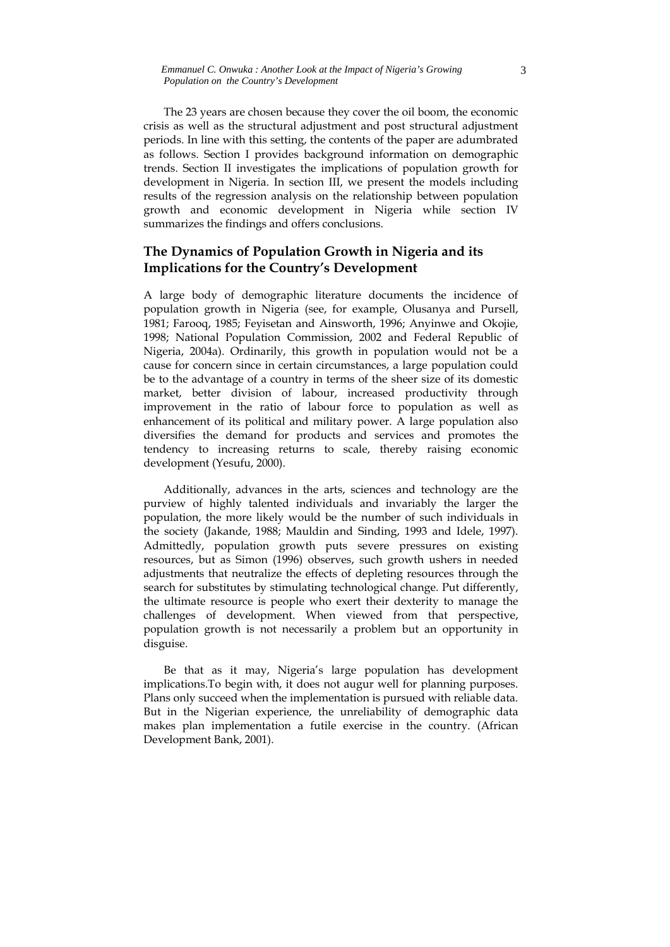The 23 years are chosen because they cover the oil boom, the economic crisis as well as the structural adjustment and post structural adjustment periods. In line with this setting, the contents of the paper are adumbrated as follows. Section I provides background information on demographic trends. Section II investigates the implications of population growth for development in Nigeria. In section III, we present the models including results of the regression analysis on the relationship between population growth and economic development in Nigeria while section IV summarizes the findings and offers conclusions.

## **The Dynamics of Population Growth in Nigeria and its Implications for the Country's Development**

A large body of demographic literature documents the incidence of population growth in Nigeria (see, for example, Olusanya and Pursell, 1981; Farooq, 1985; Feyisetan and Ainsworth, 1996; Anyinwe and Okojie, 1998; National Population Commission, 2002 and Federal Republic of Nigeria, 2004a). Ordinarily, this growth in population would not be a cause for concern since in certain circumstances, a large population could be to the advantage of a country in terms of the sheer size of its domestic market, better division of labour, increased productivity through improvement in the ratio of labour force to population as well as enhancement of its political and military power. A large population also diversifies the demand for products and services and promotes the tendency to increasing returns to scale, thereby raising economic development (Yesufu, 2000).

Additionally, advances in the arts, sciences and technology are the purview of highly talented individuals and invariably the larger the population, the more likely would be the number of such individuals in the society (Jakande, 1988; Mauldin and Sinding, 1993 and Idele, 1997). Admittedly, population growth puts severe pressures on existing resources, but as Simon (1996) observes, such growth ushers in needed adjustments that neutralize the effects of depleting resources through the search for substitutes by stimulating technological change. Put differently, the ultimate resource is people who exert their dexterity to manage the challenges of development. When viewed from that perspective, population growth is not necessarily a problem but an opportunity in disguise.

Be that as it may, Nigeria's large population has development implications.To begin with, it does not augur well for planning purposes. Plans only succeed when the implementation is pursued with reliable data. But in the Nigerian experience, the unreliability of demographic data makes plan implementation a futile exercise in the country. (African Development Bank, 2001).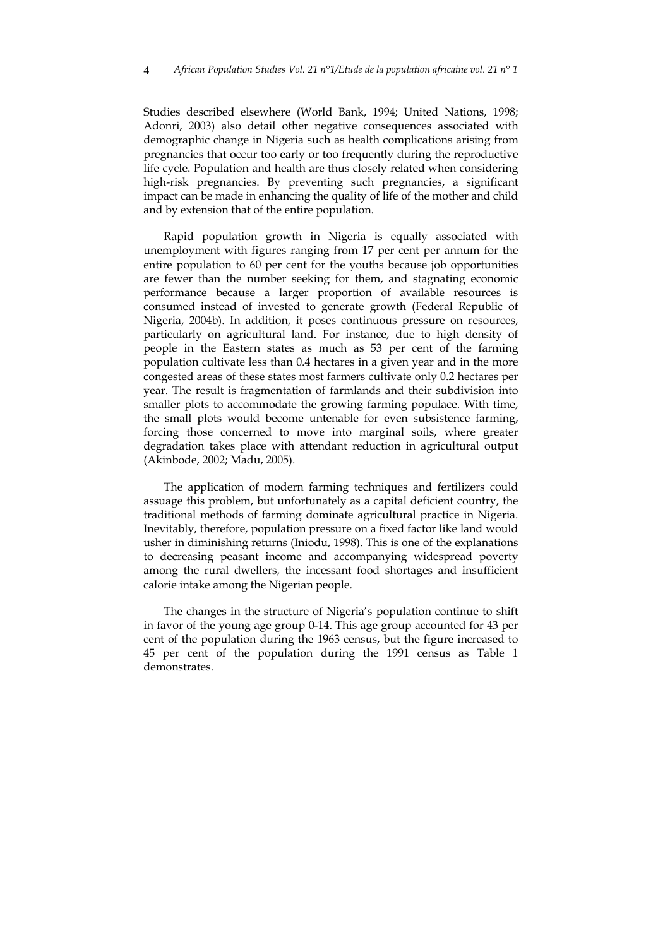Studies described elsewhere (World Bank, 1994; United Nations, 1998; Adonri, 2003) also detail other negative consequences associated with demographic change in Nigeria such as health complications arising from pregnancies that occur too early or too frequently during the reproductive life cycle. Population and health are thus closely related when considering high-risk pregnancies. By preventing such pregnancies, a significant impact can be made in enhancing the quality of life of the mother and child and by extension that of the entire population.

Rapid population growth in Nigeria is equally associated with unemployment with figures ranging from 17 per cent per annum for the entire population to 60 per cent for the youths because job opportunities are fewer than the number seeking for them, and stagnating economic performance because a larger proportion of available resources is consumed instead of invested to generate growth (Federal Republic of Nigeria, 2004b). In addition, it poses continuous pressure on resources, particularly on agricultural land. For instance, due to high density of people in the Eastern states as much as 53 per cent of the farming population cultivate less than 0.4 hectares in a given year and in the more congested areas of these states most farmers cultivate only 0.2 hectares per year. The result is fragmentation of farmlands and their subdivision into smaller plots to accommodate the growing farming populace. With time, the small plots would become untenable for even subsistence farming, forcing those concerned to move into marginal soils, where greater degradation takes place with attendant reduction in agricultural output (Akinbode, 2002; Madu, 2005).

The application of modern farming techniques and fertilizers could assuage this problem, but unfortunately as a capital deficient country, the traditional methods of farming dominate agricultural practice in Nigeria. Inevitably, therefore, population pressure on a fixed factor like land would usher in diminishing returns (Iniodu, 1998). This is one of the explanations to decreasing peasant income and accompanying widespread poverty among the rural dwellers, the incessant food shortages and insufficient calorie intake among the Nigerian people.

The changes in the structure of Nigeria's population continue to shift in favor of the young age group 0-14. This age group accounted for 43 per cent of the population during the 1963 census, but the figure increased to 45 per cent of the population during the 1991 census as Table 1 demonstrates.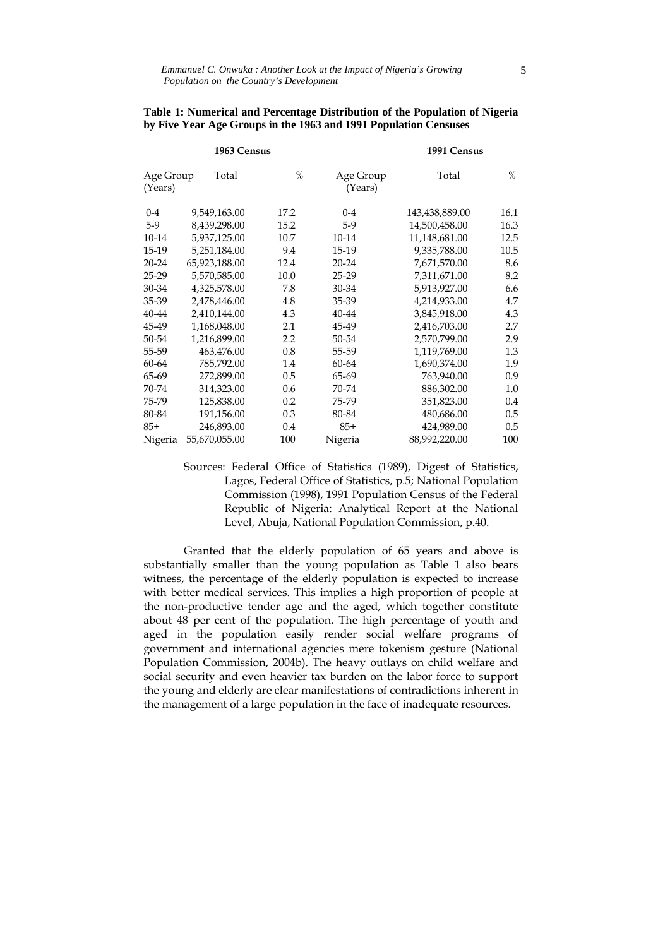|                      | 1963 Census   |      | 1991 Census          |                |         |  |
|----------------------|---------------|------|----------------------|----------------|---------|--|
| Age Group<br>(Years) | Total         | $\%$ | Age Group<br>(Years) | Total          | $\%$    |  |
| $0 - 4$              | 9,549,163.00  | 17.2 | $0 - 4$              | 143,438,889.00 | 16.1    |  |
| $5-9$                | 8,439,298.00  | 15.2 | $5-9$                | 14,500,458.00  | 16.3    |  |
| 10-14                | 5,937,125.00  | 10.7 | 10-14                | 11,148,681.00  | 12.5    |  |
| 15-19                | 5,251,184.00  | 9.4  | 15-19                | 9,335,788.00   | 10.5    |  |
| $20 - 24$            | 65,923,188.00 | 12.4 | 20-24                | 7,671,570.00   | 8.6     |  |
| 25-29                | 5,570,585.00  | 10.0 | 25-29                | 7,311,671.00   | 8.2     |  |
| 30-34                | 4,325,578.00  | 7.8  | 30-34                | 5,913,927.00   | 6.6     |  |
| 35-39                | 2,478,446.00  | 4.8  | 35-39                | 4,214,933.00   | 4.7     |  |
| 40-44                | 2,410,144.00  | 4.3  | 40-44                | 3,845,918.00   | 4.3     |  |
| 45-49                | 1,168,048.00  | 2.1  | 45-49                | 2,416,703.00   | 2.7     |  |
| 50-54                | 1,216,899.00  | 2.2  | 50-54                | 2,570,799.00   | 2.9     |  |
| 55-59                | 463,476.00    | 0.8  | 55-59                | 1,119,769.00   | 1.3     |  |
| 60-64                | 785,792.00    | 1.4  | 60-64                | 1,690,374.00   | 1.9     |  |
| 65-69                | 272,899.00    | 0.5  | 65-69                | 763,940.00     | 0.9     |  |
| 70-74                | 314,323.00    | 0.6  | 70-74                | 886,302.00     | $1.0\,$ |  |
| 75-79                | 125,838.00    | 0.2  | 75-79                | 351,823.00     | 0.4     |  |
| 80-84                | 191,156.00    | 0.3  | 80-84                | 480,686.00     | 0.5     |  |
| $85+$                | 246,893.00    | 0.4  | $85+$                | 424,989.00     | 0.5     |  |
| Nigeria              | 55,670,055.00 | 100  | Nigeria              | 88,992,220.00  | 100     |  |

#### **Table 1: Numerical and Percentage Distribution of the Population of Nigeria by Five Year Age Groups in the 1963 and 1991 Population Censuses**

Sources: Federal Office of Statistics (1989), Digest of Statistics, Lagos, Federal Office of Statistics, p.5; National Population Commission (1998), 1991 Population Census of the Federal Republic of Nigeria: Analytical Report at the National Level, Abuja, National Population Commission, p.40.

 Granted that the elderly population of 65 years and above is substantially smaller than the young population as Table 1 also bears witness, the percentage of the elderly population is expected to increase with better medical services. This implies a high proportion of people at the non-productive tender age and the aged, which together constitute about 48 per cent of the population. The high percentage of youth and aged in the population easily render social welfare programs of government and international agencies mere tokenism gesture (National Population Commission, 2004b). The heavy outlays on child welfare and social security and even heavier tax burden on the labor force to support the young and elderly are clear manifestations of contradictions inherent in the management of a large population in the face of inadequate resources.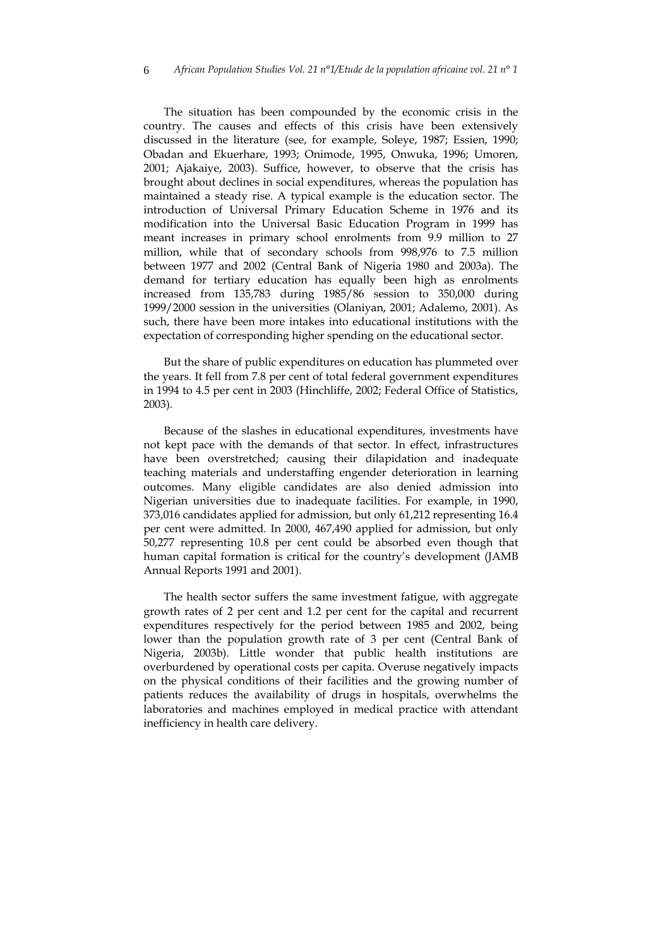The situation has been compounded by the economic crisis in the country. The causes and effects of this crisis have been extensively discussed in the literature (see, for example, Soleye, 1987; Essien, 1990; Obadan and Ekuerhare, 1993; Onimode, 1995, Onwuka, 1996; Umoren, 2001; Ajakaiye, 2003). Suffice, however, to observe that the crisis has brought about declines in social expenditures, whereas the population has maintained a steady rise. A typical example is the education sector. The introduction of Universal Primary Education Scheme in 1976 and its modification into the Universal Basic Education Program in 1999 has meant increases in primary school enrolments from 9.9 million to 27 million, while that of secondary schools from 998,976 to 7.5 million between 1977 and 2002 (Central Bank of Nigeria 1980 and 2003a). The demand for tertiary education has equally been high as enrolments increased from 135,783 during 1985/86 session to 350,000 during 1999/2000 session in the universities (Olaniyan, 2001; Adalemo, 2001). As such, there have been more intakes into educational institutions with the expectation of corresponding higher spending on the educational sector.

But the share of public expenditures on education has plummeted over the years. It fell from 7.8 per cent of total federal government expenditures in 1994 to 4.5 per cent in 2003 (Hinchliffe, 2002; Federal Office of Statistics, 2003).

Because of the slashes in educational expenditures, investments have not kept pace with the demands of that sector. In effect, infrastructures have been overstretched; causing their dilapidation and inadequate teaching materials and understaffing engender deterioration in learning outcomes. Many eligible candidates are also denied admission into Nigerian universities due to inadequate facilities. For example, in 1990, 373,016 candidates applied for admission, but only 61,212 representing 16.4 per cent were admitted. In 2000, 467,490 applied for admission, but only 50,277 representing 10.8 per cent could be absorbed even though that human capital formation is critical for the country's development (JAMB Annual Reports 1991 and 2001).

The health sector suffers the same investment fatigue, with aggregate growth rates of 2 per cent and 1.2 per cent for the capital and recurrent expenditures respectively for the period between 1985 and 2002, being lower than the population growth rate of 3 per cent (Central Bank of Nigeria, 2003b). Little wonder that public health institutions are overburdened by operational costs per capita. Overuse negatively impacts on the physical conditions of their facilities and the growing number of patients reduces the availability of drugs in hospitals, overwhelms the laboratories and machines employed in medical practice with attendant inefficiency in health care delivery.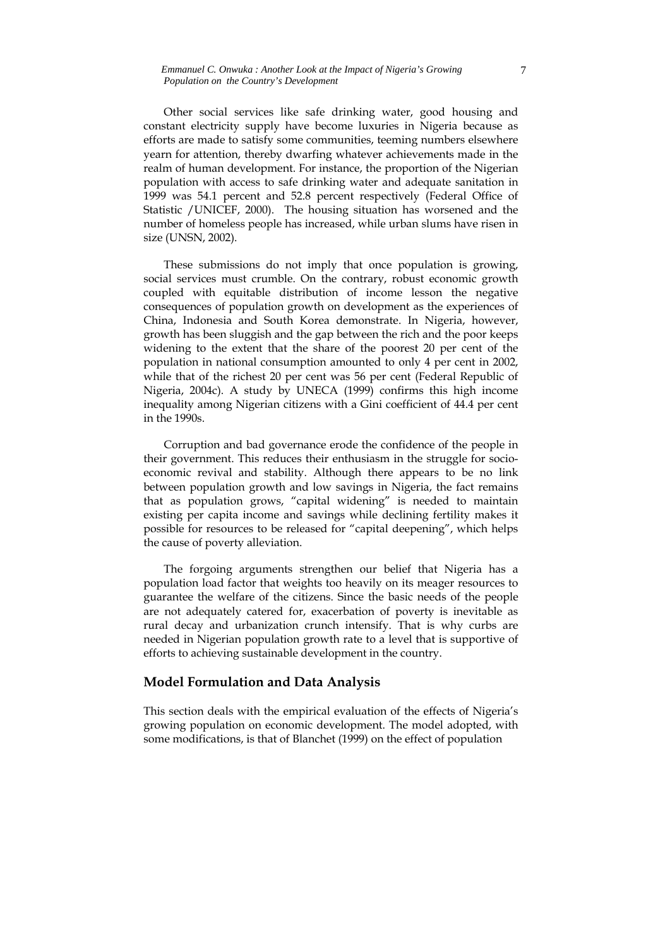Other social services like safe drinking water, good housing and constant electricity supply have become luxuries in Nigeria because as efforts are made to satisfy some communities, teeming numbers elsewhere yearn for attention, thereby dwarfing whatever achievements made in the realm of human development. For instance, the proportion of the Nigerian population with access to safe drinking water and adequate sanitation in 1999 was 54.1 percent and 52.8 percent respectively (Federal Office of Statistic /UNICEF, 2000). The housing situation has worsened and the number of homeless people has increased, while urban slums have risen in size (UNSN, 2002).

These submissions do not imply that once population is growing, social services must crumble. On the contrary, robust economic growth coupled with equitable distribution of income lesson the negative consequences of population growth on development as the experiences of China, Indonesia and South Korea demonstrate. In Nigeria, however, growth has been sluggish and the gap between the rich and the poor keeps widening to the extent that the share of the poorest 20 per cent of the population in national consumption amounted to only 4 per cent in 2002, while that of the richest 20 per cent was 56 per cent (Federal Republic of Nigeria, 2004c). A study by UNECA (1999) confirms this high income inequality among Nigerian citizens with a Gini coefficient of 44.4 per cent in the 1990s.

Corruption and bad governance erode the confidence of the people in their government. This reduces their enthusiasm in the struggle for socioeconomic revival and stability. Although there appears to be no link between population growth and low savings in Nigeria, the fact remains that as population grows, "capital widening" is needed to maintain existing per capita income and savings while declining fertility makes it possible for resources to be released for "capital deepening", which helps the cause of poverty alleviation.

The forgoing arguments strengthen our belief that Nigeria has a population load factor that weights too heavily on its meager resources to guarantee the welfare of the citizens. Since the basic needs of the people are not adequately catered for, exacerbation of poverty is inevitable as rural decay and urbanization crunch intensify. That is why curbs are needed in Nigerian population growth rate to a level that is supportive of efforts to achieving sustainable development in the country.

## **Model Formulation and Data Analysis**

This section deals with the empirical evaluation of the effects of Nigeria's growing population on economic development. The model adopted, with some modifications, is that of Blanchet (1999) on the effect of population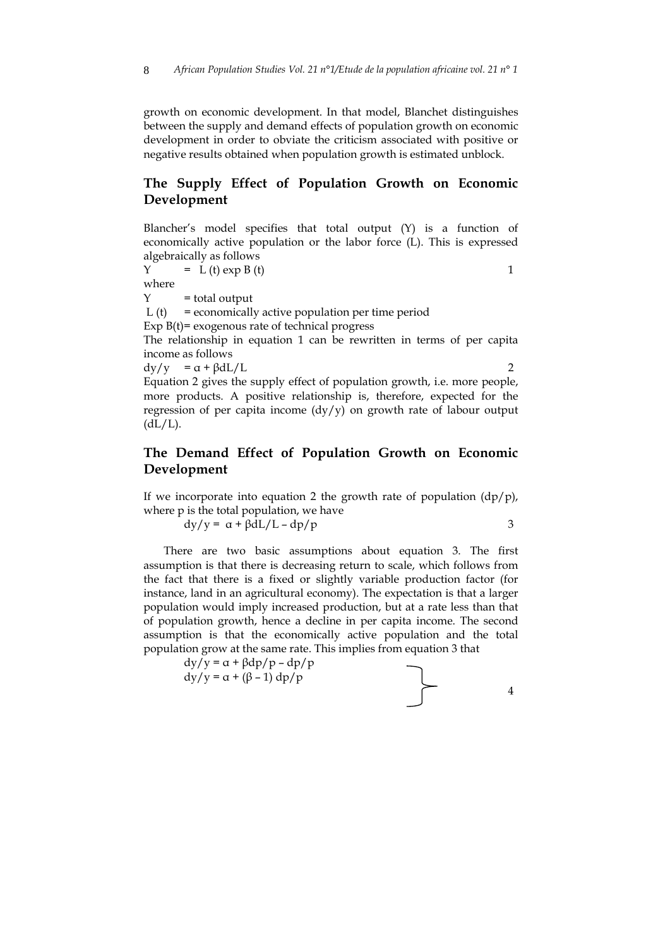growth on economic development. In that model, Blanchet distinguishes between the supply and demand effects of population growth on economic development in order to obviate the criticism associated with positive or negative results obtained when population growth is estimated unblock.

## **The Supply Effect of Population Growth on Economic Development**

Blancher's model specifies that total output (Y) is a function of economically active population or the labor force (L). This is expressed algebraically as follows

 $Y = L(t) \exp B(t)$  1

where

 $Y = total output$ 

L (t) = economically active population per time period

Exp  $B(t)$  = exogenous rate of technical progress

The relationship in equation 1 can be rewritten in terms of per capita income as follows

 $\frac{dy}{y} = \alpha + \frac{\beta dL}{L}$  2

Equation 2 gives the supply effect of population growth, i.e. more people, more products. A positive relationship is, therefore, expected for the regression of per capita income (dy/y) on growth rate of labour output  $(dL/L).$ 

## **The Demand Effect of Population Growth on Economic Development**

If we incorporate into equation 2 the growth rate of population  $\frac{dp}{p}$ , where p is the total population, we have

$$
dy/y = \alpha + \beta dL/L - dp/p
$$
3

There are two basic assumptions about equation 3. The first assumption is that there is decreasing return to scale, which follows from the fact that there is a fixed or slightly variable production factor (for instance, land in an agricultural economy). The expectation is that a larger population would imply increased production, but at a rate less than that of population growth, hence a decline in per capita income. The second assumption is that the economically active population and the total population grow at the same rate. This implies from equation 3 that

$$
dy/y = \alpha + \beta dp/p - dp/p
$$
  
 
$$
dy/y = \alpha + (\beta - 1) dp/p
$$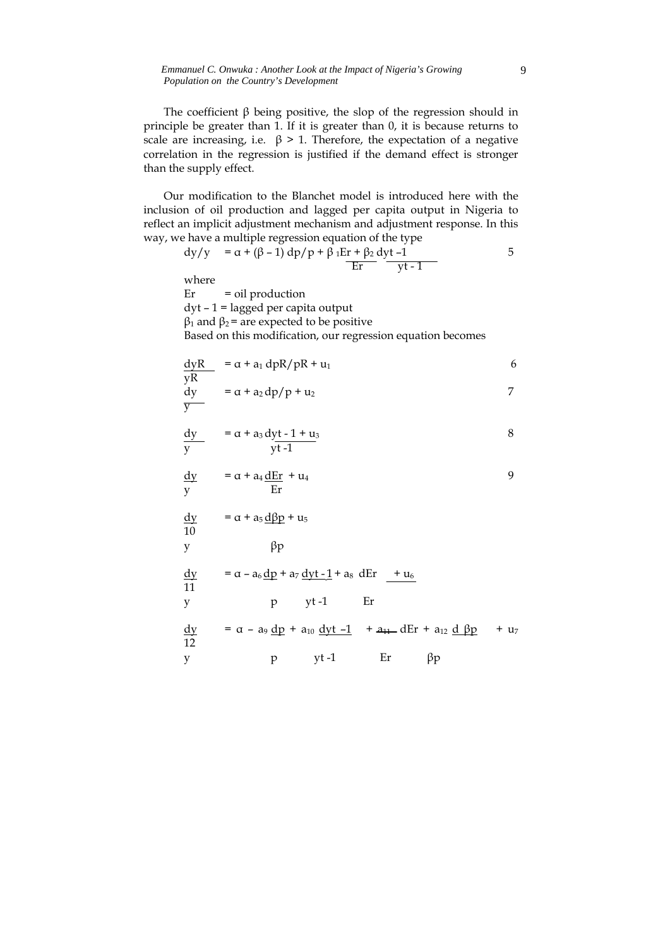*Emmanuel C. Onwuka : Another Look at the Impact of Nigeria's Growing Population on the Country's Development* 

The coefficient  $\beta$  being positive, the slop of the regression should in principle be greater than 1. If it is greater than 0, it is because returns to scale are increasing, i.e.  $\beta$  > 1. Therefore, the expectation of a negative correlation in the regression is justified if the demand effect is stronger than the supply effect.

Our modification to the Blanchet model is introduced here with the inclusion of oil production and lagged per capita output in Nigeria to reflect an implicit adjustment mechanism and adjustment response. In this way, we have a multiple regression equation of the type

$$
dy/y = \alpha + (\beta - 1) dp/p + \beta_1 Er + \beta_2 dyt - 1
$$
 5

where

 $\overline{y}$ 

Er = oil production dyt – 1 = lagged per capita output  $β<sub>1</sub>$  and  $β<sub>2</sub> =$  are expected to be positive Based on this modification, our regression equation becomes

$$
\frac{dyR}{yR} = \alpha + a_1 dpR/pR + u_1
$$
\n
$$
dy = \alpha + a_2 dp/p + u_2
$$
\n7

$$
\frac{dy}{y} = \alpha + a_3 \frac{dyt - 1 + u_3}{yt - 1}
$$
 8

$$
\frac{dy}{y} = \alpha + a_4 \frac{dE_r}{E_r} + u_4
$$

 $dy = \alpha + a_5 d\beta p + u_5$ 10  $y \qquad \qquad \beta p$ 

$$
\frac{dy}{11} = \alpha - a_6 \frac{dp}{dt} + a_7 \frac{dy}{t-1} + a_8 dEr + u_6
$$
\ny\n
$$
y = \alpha - a_9 \frac{dp}{dt} + a_{10} \frac{dy}{dt} - 1 + a_{11} dEr + a_{12} \frac{d}{dt}p + u_7
$$

$$
y
$$
  $pt-1$   $Er$   $\beta p$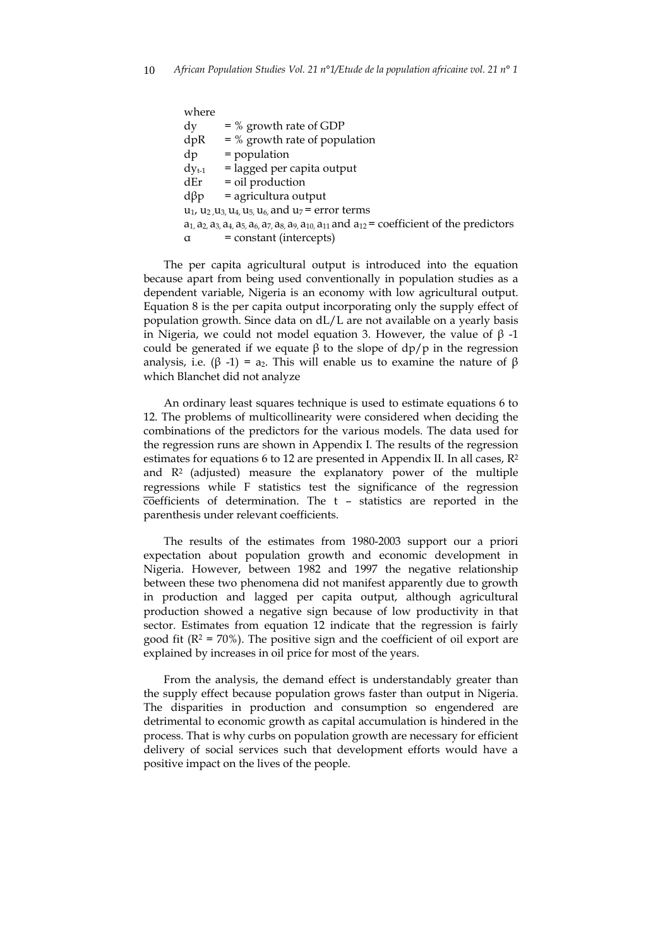| where      |                                                                                                                                          |
|------------|------------------------------------------------------------------------------------------------------------------------------------------|
| $\rm{d}v$  | $=$ % growth rate of GDP                                                                                                                 |
| dpR        | $=$ % growth rate of population                                                                                                          |
| dp         | $=$ population                                                                                                                           |
| $dy_{t-1}$ | $=$ lagged per capita output                                                                                                             |
| dEr        | $=$ oil production                                                                                                                       |
| $d\beta p$ | $=$ agricultura output                                                                                                                   |
|            | $u_1$ , $u_2$ , $u_3$ , $u_4$ , $u_5$ , $u_6$ , and $u_7$ = error terms                                                                  |
|            | $a_1$ , $a_2$ , $a_3$ , $a_4$ , $a_5$ , $a_6$ , $a_7$ , $a_8$ , $a_9$ , $a_{10}$ , $a_{11}$ and $a_{12}$ = coefficient of the predictors |
| $\alpha$   | = constant (intercepts)                                                                                                                  |
|            |                                                                                                                                          |

The per capita agricultural output is introduced into the equation because apart from being used conventionally in population studies as a dependent variable, Nigeria is an economy with low agricultural output. Equation 8 is the per capita output incorporating only the supply effect of population growth. Since data on dL/L are not available on a yearly basis in Nigeria, we could not model equation 3. However, the value of  $β -1$ could be generated if we equate β to the slope of  $dp/p$  in the regression analysis, i.e. (β -1) = a<sub>2</sub>. This will enable us to examine the nature of β which Blanchet did not analyze

An ordinary least squares technique is used to estimate equations 6 to 12. The problems of multicollinearity were considered when deciding the combinations of the predictors for the various models. The data used for the regression runs are shown in Appendix I. The results of the regression estimates for equations 6 to 12 are presented in Appendix II. In all cases, R2 and R2 (adjusted) measure the explanatory power of the multiple regressions while F statistics test the significance of the regression  $\overline{\text{coefficients}}$  of determination. The t – statistics are reported in the parenthesis under relevant coefficients.

The results of the estimates from 1980-2003 support our a priori expectation about population growth and economic development in Nigeria. However, between 1982 and 1997 the negative relationship between these two phenomena did not manifest apparently due to growth in production and lagged per capita output, although agricultural production showed a negative sign because of low productivity in that sector. Estimates from equation 12 indicate that the regression is fairly good fit ( $R^2 = 70\%$ ). The positive sign and the coefficient of oil export are explained by increases in oil price for most of the years.

From the analysis, the demand effect is understandably greater than the supply effect because population grows faster than output in Nigeria. The disparities in production and consumption so engendered are detrimental to economic growth as capital accumulation is hindered in the process. That is why curbs on population growth are necessary for efficient delivery of social services such that development efforts would have a positive impact on the lives of the people.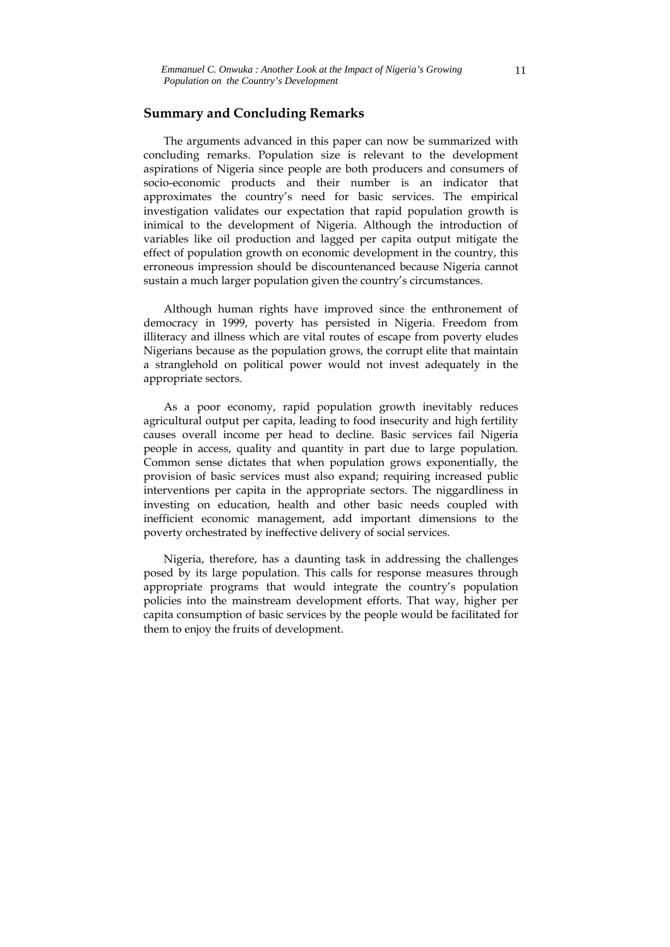#### **Summary and Concluding Remarks**

The arguments advanced in this paper can now be summarized with concluding remarks. Population size is relevant to the development aspirations of Nigeria since people are both producers and consumers of socio-economic products and their number is an indicator that approximates the country's need for basic services. The empirical investigation validates our expectation that rapid population growth is inimical to the development of Nigeria. Although the introduction of variables like oil production and lagged per capita output mitigate the effect of population growth on economic development in the country, this erroneous impression should be discountenanced because Nigeria cannot sustain a much larger population given the country's circumstances.

Although human rights have improved since the enthronement of democracy in 1999, poverty has persisted in Nigeria. Freedom from illiteracy and illness which are vital routes of escape from poverty eludes Nigerians because as the population grows, the corrupt elite that maintain a stranglehold on political power would not invest adequately in the appropriate sectors.

As a poor economy, rapid population growth inevitably reduces agricultural output per capita, leading to food insecurity and high fertility causes overall income per head to decline. Basic services fail Nigeria people in access, quality and quantity in part due to large population. Common sense dictates that when population grows exponentially, the provision of basic services must also expand; requiring increased public interventions per capita in the appropriate sectors. The niggardliness in investing on education, health and other basic needs coupled with inefficient economic management, add important dimensions to the poverty orchestrated by ineffective delivery of social services.

Nigeria, therefore, has a daunting task in addressing the challenges posed by its large population. This calls for response measures through appropriate programs that would integrate the country's population policies into the mainstream development efforts. That way, higher per capita consumption of basic services by the people would be facilitated for them to enjoy the fruits of development.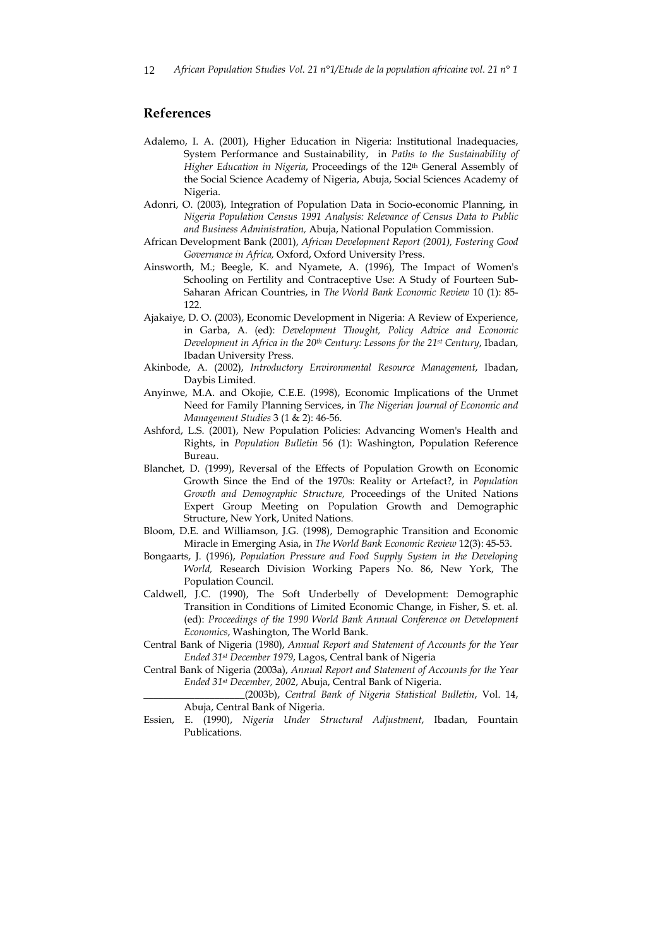#### **References**

- Adalemo, I. A. (2001), Higher Education in Nigeria: Institutional Inadequacies, System Performance and Sustainability, in *Paths to the Sustainability of Higher Education in Nigeria*, Proceedings of the 12th General Assembly of the Social Science Academy of Nigeria, Abuja, Social Sciences Academy of Nigeria.
- Adonri, O. (2003), Integration of Population Data in Socio-economic Planning, in *Nigeria Population Census 1991 Analysis: Relevance of Census Data to Public and Business Administration,* Abuja, National Population Commission.
- African Development Bank (2001), *African Development Report (2001), Fostering Good Governance in Africa,* Oxford, Oxford University Press.
- Ainsworth, M.; Beegle, K. and Nyamete, A. (1996), The Impact of Women's Schooling on Fertility and Contraceptive Use: A Study of Fourteen Sub-Saharan African Countries, in *The World Bank Economic Review* 10 (1): 85- 122.
- Ajakaiye, D. O. (2003), Economic Development in Nigeria: A Review of Experience, in Garba, A. (ed): *Development Thought, Policy Advice and Economic Development in Africa in the 20th Century: Lessons for the 21st Century*, Ibadan, Ibadan University Press.
- Akinbode, A. (2002), *Introductory Environmental Resource Management*, Ibadan, Daybis Limited.
- Anyinwe, M.A. and Okojie, C.E.E. (1998), Economic Implications of the Unmet Need for Family Planning Services, in *The Nigerian Journal of Economic and Management Studies* 3 (1 & 2): 46-56.
- Ashford, L.S. (2001), New Population Policies: Advancing Women's Health and Rights, in *Population Bulletin* 56 (1): Washington, Population Reference Bureau.
- Blanchet, D. (1999), Reversal of the Effects of Population Growth on Economic Growth Since the End of the 1970s: Reality or Artefact?, in *Population Growth and Demographic Structure,* Proceedings of the United Nations Expert Group Meeting on Population Growth and Demographic Structure, New York, United Nations.
- Bloom, D.E. and Williamson, J.G. (1998), Demographic Transition and Economic Miracle in Emerging Asia, in *The World Bank Economic Review* 12(3): 45-53.
- Bongaarts, J. (1996), *Population Pressure and Food Supply System in the Developing World,* Research Division Working Papers No. 86, New York, The Population Council.
- Caldwell, J.C. (1990), The Soft Underbelly of Development: Demographic Transition in Conditions of Limited Economic Change, in Fisher, S. et. al. (ed): *Proceedings of the 1990 World Bank Annual Conference on Development Economics*, Washington, The World Bank.
- Central Bank of Nigeria (1980), *Annual Report and Statement of Accounts for the Year Ended 31st December 1979*, Lagos, Central bank of Nigeria
- Central Bank of Nigeria (2003a), *Annual Report and Statement of Accounts for the Year Ended 31st December, 2002*, Abuja, Central Bank of Nigeria.

\_\_\_\_\_\_\_\_\_\_\_\_\_\_\_\_\_\_\_\_(2003b), *Central Bank of Nigeria Statistical Bulletin*, Vol. 14, Abuja, Central Bank of Nigeria.

Essien, E. (1990), *Nigeria Under Structural Adjustment*, Ibadan, Fountain Publications.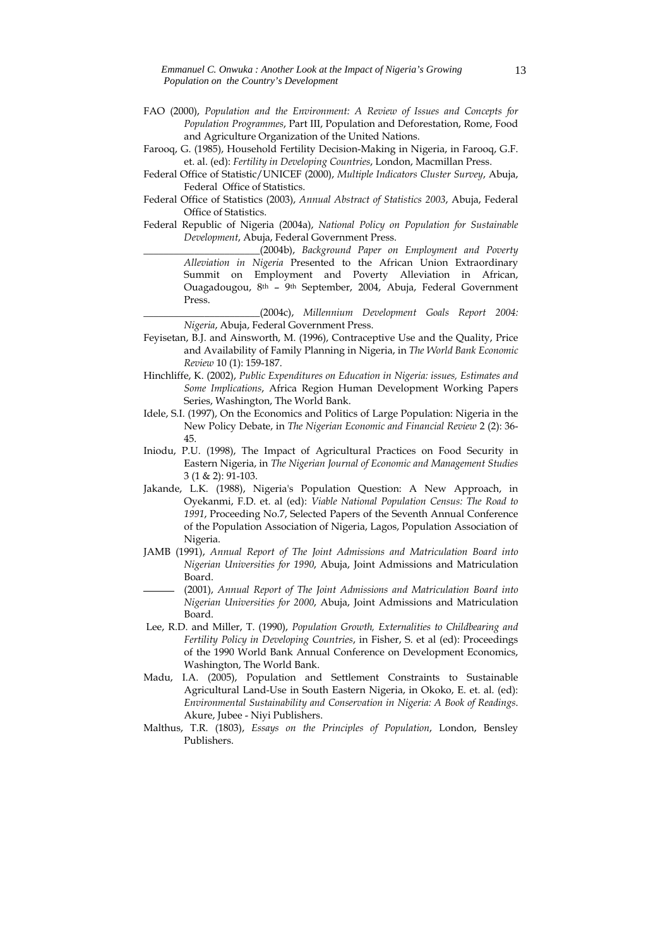- FAO (2000), *Population and the Environment: A Review of Issues and Concepts for Population Programmes*, Part III, Population and Deforestation, Rome, Food and Agriculture Organization of the United Nations.
- Farooq, G. (1985), Household Fertility Decision-Making in Nigeria, in Farooq, G.F. et. al. (ed): *Fertility in Developing Countries*, London, Macmillan Press.
- Federal Office of Statistic/UNICEF (2000), *Multiple Indicators Cluster Survey*, Abuja, Federal Office of Statistics.
- Federal Office of Statistics (2003), *Annual Abstract of Statistics 2003*, Abuja, Federal Office of Statistics.
- Federal Republic of Nigeria (2004a), *National Policy on Population for Sustainable Development*, Abuja, Federal Government Press.

\_\_\_\_\_\_\_\_\_\_\_\_\_\_\_\_\_\_\_\_\_\_\_(2004b), *Background Paper on Employment and Poverty Alleviation in Nigeria* Presented to the African Union Extraordinary Summit on Employment and Poverty Alleviation in African, Ouagadougou, 8th – 9th September, 2004, Abuja, Federal Government Press.

\_\_\_\_\_\_\_\_\_\_\_\_\_\_\_\_\_\_\_\_\_\_\_(2004c), *Millennium Development Goals Report 2004: Nigeria*, Abuja, Federal Government Press.

- Feyisetan, B.J. and Ainsworth, M. (1996), Contraceptive Use and the Quality, Price and Availability of Family Planning in Nigeria, in *The World Bank Economic Review* 10 (1): 159-187.
- Hinchliffe, K. (2002), *Public Expenditures on Education in Nigeria: issues, Estimates and Some Implications*, Africa Region Human Development Working Papers Series, Washington, The World Bank.
- Idele, S.I. (1997), On the Economics and Politics of Large Population: Nigeria in the New Policy Debate, in *The Nigerian Economic and Financial Review* 2 (2): 36- 45.
- Iniodu, P.U. (1998), The Impact of Agricultural Practices on Food Security in Eastern Nigeria, in *The Nigerian Journal of Economic and Management Studies* 3 (1 & 2): 91-103.
- Jakande, L.K. (1988), Nigeria's Population Question: A New Approach, in Oyekanmi, F.D. et. al (ed): *Viable National Population Census: The Road to 1991*, Proceeding No.7, Selected Papers of the Seventh Annual Conference of the Population Association of Nigeria, Lagos, Population Association of Nigeria.
- JAMB (1991), *Annual Report of The Joint Admissions and Matriculation Board into Nigerian Universities for 1990*, Abuja, Joint Admissions and Matriculation Board.
	- (2001), *Annual Report of The Joint Admissions and Matriculation Board into Nigerian Universities for 2000*, Abuja, Joint Admissions and Matriculation Board.
- Lee, R.D. and Miller, T. (1990), *Population Growth, Externalities to Childbearing and Fertility Policy in Developing Countries*, in Fisher, S. et al (ed): Proceedings of the 1990 World Bank Annual Conference on Development Economics, Washington, The World Bank.
- Madu, I.A. (2005), Population and Settlement Constraints to Sustainable Agricultural Land-Use in South Eastern Nigeria, in Okoko, E. et. al. (ed): *Environmental Sustainability and Conservation in Nigeria: A Book of Readings*. Akure, Jubee - Niyi Publishers.
- Malthus, T.R. (1803), *Essays on the Principles of Population*, London, Bensley Publishers.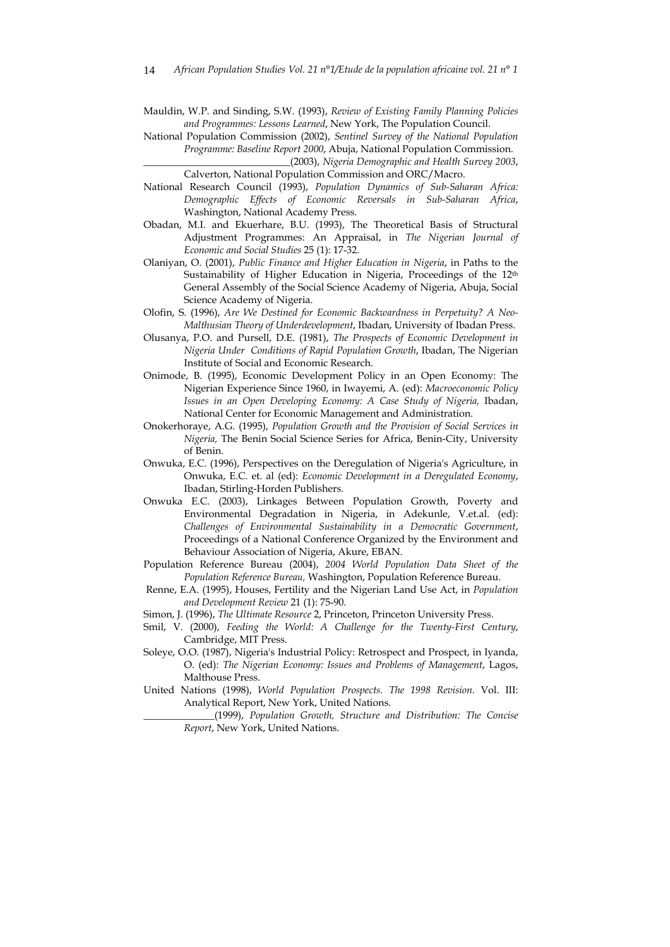Mauldin, W.P. and Sinding, S.W. (1993), *Review of Existing Family Planning Policies and Programmes: Lessons Learned*, New York, The Population Council.

National Population Commission (2002), *Sentinel Survey of the National Population Programme: Baseline Report 2000*, Abuja, National Population Commission. \_\_\_\_\_\_\_\_\_\_\_\_\_\_\_\_\_\_\_\_\_\_\_\_\_\_\_\_\_(2003), *Nigeria Demographic and Health Survey 2003*,

Calverton, National Population Commission and ORC/Macro.

- National Research Council (1993), *Population Dynamics of Sub-Saharan Africa: Demographic Effects of Economic Reversals in Sub-Saharan Africa*, Washington, National Academy Press.
- Obadan, M.I. and Ekuerhare, B.U. (1993), The Theoretical Basis of Structural Adjustment Programmes: An Appraisal, in *The Nigerian Journal of Economic and Social Studies* 25 (1): 17-32.
- Olaniyan, O. (2001), *Public Finance and Higher Education in Nigeria*, in Paths to the Sustainability of Higher Education in Nigeria, Proceedings of the 12th General Assembly of the Social Science Academy of Nigeria, Abuja, Social Science Academy of Nigeria.
- Olofin, S. (1996), *Are We Destined for Economic Backwardness in Perpetuity? A Neo-Malthusian Theory of Underdevelopment*, Ibadan, University of Ibadan Press.
- Olusanya, P.O. and Pursell, D.E. (1981), *The Prospects of Economic Development in Nigeria Under Conditions of Rapid Population Growth*, Ibadan, The Nigerian Institute of Social and Economic Research.
- Onimode, B. (1995), Economic Development Policy in an Open Economy: The Nigerian Experience Since 1960, in Iwayemi, A. (ed): *Macroeconomic Policy Issues in an Open Developing Economy: A Case Study of Nigeria,* Ibadan, National Center for Economic Management and Administration.
- Onokerhoraye, A.G. (1995), *Population Growth and the Provision of Social Services in Nigeria,* The Benin Social Science Series for Africa, Benin-City, University of Benin.
- Onwuka, E.C. (1996), Perspectives on the Deregulation of Nigeria's Agriculture, in Onwuka, E.C. et. al (ed): *Economic Development in a Deregulated Economy*, Ibadan, Stirling-Horden Publishers.
- Onwuka E.C. (2003), Linkages Between Population Growth, Poverty and Environmental Degradation in Nigeria, in Adekunle, V.et.al. (ed): *Challenges of Environmental Sustainability in a Democratic Government*, Proceedings of a National Conference Organized by the Environment and Behaviour Association of Nigeria, Akure, EBAN.
- Population Reference Bureau (2004), *2004 World Population Data Sheet of the Population Reference Bureau,* Washington, Population Reference Bureau.
- Renne, E.A. (1995), Houses, Fertility and the Nigerian Land Use Act, in *Population and Development Review* 21 (1): 75-90.
- Simon, J. (1996), *The Ultimate Resource* 2, Princeton, Princeton University Press.
- Smil, V. (2000), *Feeding the World: A Challenge for the Twenty-First Century*, Cambridge, MIT Press.
- Soleye, O.O. (1987), Nigeria's Industrial Policy: Retrospect and Prospect, in Iyanda, O. (ed): *The Nigerian Economy: Issues and Problems of Management*, Lagos, Malthouse Press.
- United Nations (1998), *World Population Prospects. The 1998 Revision*. Vol. III: Analytical Report, New York, United Nations.

\_\_\_\_\_\_\_\_\_\_\_\_\_\_(1999), *Population Growth, Structure and Distribution: The Concise Report*, New York, United Nations.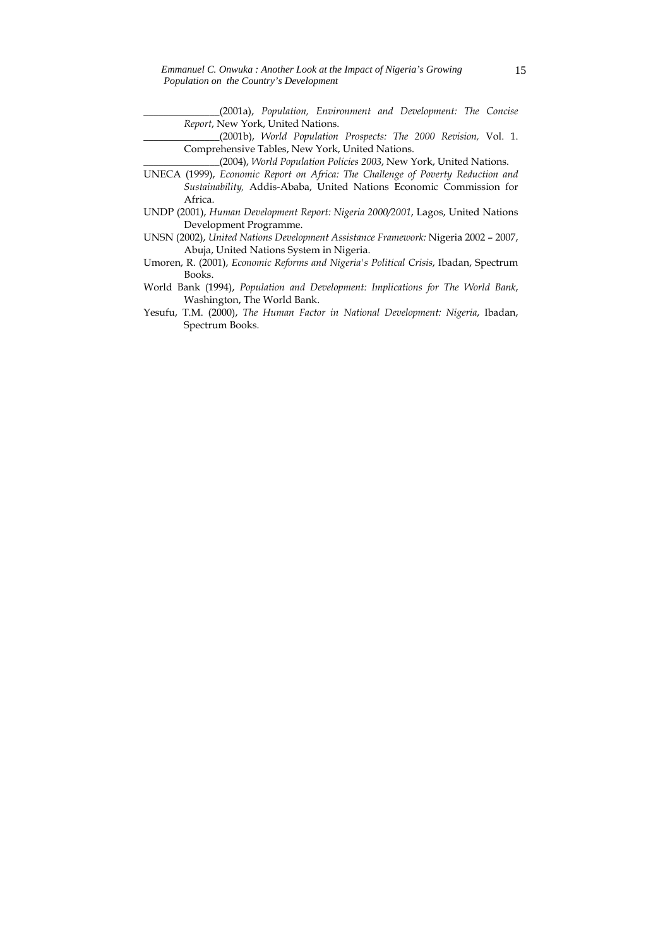\_\_\_\_\_\_\_\_\_\_\_\_\_\_\_(2001a), *Population, Environment and Development: The Concise Report*, New York, United Nations.

\_\_\_\_\_\_\_\_\_\_\_\_\_\_\_(2001b), *World Population Prospects: The 2000 Revision,* Vol. 1. Comprehensive Tables, New York, United Nations.

\_\_\_\_\_\_\_\_\_\_\_\_\_\_\_(2004), *World Population Policies 2003*, New York, United Nations.

- UNECA (1999), *Economic Report on Africa: The Challenge of Poverty Reduction and Sustainability,* Addis-Ababa, United Nations Economic Commission for Africa.
- UNDP (2001), *Human Development Report: Nigeria 2000/2001*, Lagos, United Nations Development Programme.
- UNSN (2002), *United Nations Development Assistance Framework:* Nigeria 2002 2007, Abuja, United Nations System in Nigeria.
- Umoren, R. (2001), *Economic Reforms and Nigeria's Political Crisis*, Ibadan, Spectrum Books.
- World Bank (1994), *Population and Development: Implications for The World Bank*, Washington, The World Bank.
- Yesufu, T.M. (2000), *The Human Factor in National Development: Nigeria*, Ibadan, Spectrum Books.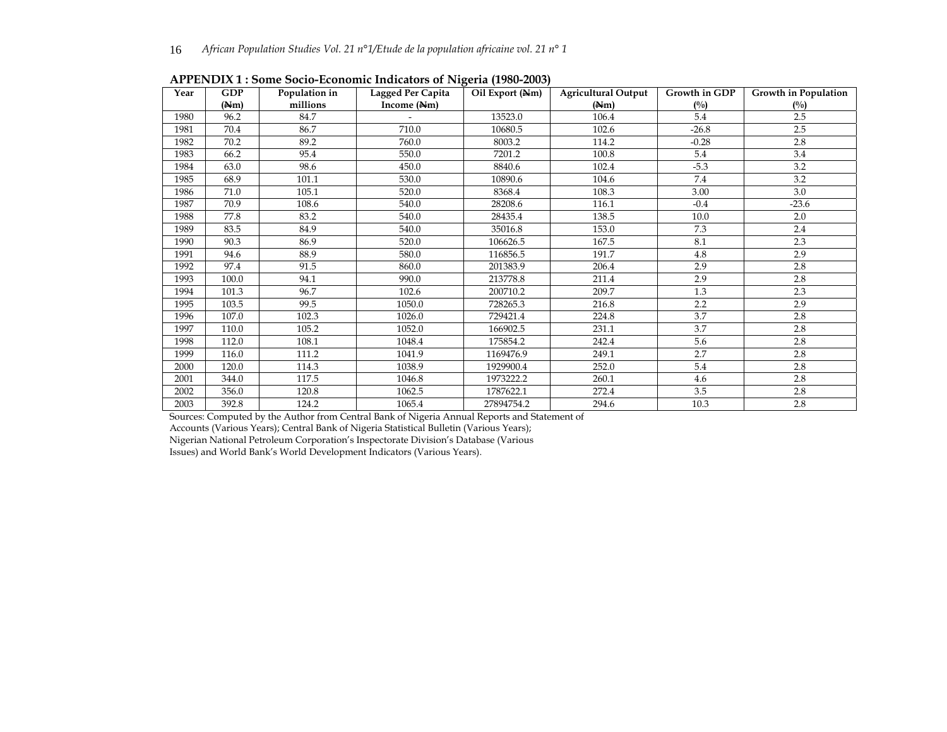| Year | <b>GDP</b> | Population in | Lagged Per Capita | Oil Export (Nm) | <b>Agricultural Output</b> | <b>Growth in GDP</b> | Growth in Population |  |
|------|------------|---------------|-------------------|-----------------|----------------------------|----------------------|----------------------|--|
|      | (Nm)       | millions      | Income (Nm)       |                 | (Nm)                       | (°/0)                | $(^{0}/_{0})$        |  |
| 1980 | 96.2       | 84.7          |                   | 13523.0         | 106.4                      | 5.4                  | 2.5                  |  |
| 1981 | 70.4       | 86.7          | 710.0             | 10680.5         | 102.6                      | $-26.8$              | 2.5                  |  |
| 1982 | 70.2       | 89.2          | 760.0             | 8003.2          | 114.2                      | $-0.28$              | 2.8                  |  |
| 1983 | 66.2       | 95.4          | 550.0             | 7201.2          | 100.8                      | 5.4                  | 3.4                  |  |
| 1984 | 63.0       | 98.6          | 450.0             | 8840.6          | 102.4                      | $-5.3$               | 3.2                  |  |
| 1985 | 68.9       | 101.1         | 530.0             | 10890.6         | 104.6                      | 7.4                  | 3.2                  |  |
| 1986 | 71.0       | 105.1         | 520.0             | 8368.4          | 108.3                      | 3.00                 | 3.0                  |  |
| 1987 | 70.9       | 108.6         | 540.0             | 28208.6         | 116.1                      | $-0.4$               | $-23.6$              |  |
| 1988 | 77.8       | 83.2          | 540.0             | 28435.4         | 138.5                      | 10.0                 | 2.0                  |  |
| 1989 | 83.5       | 84.9          | 540.0             | 35016.8         | 153.0                      | 7.3                  | 2.4                  |  |
| 1990 | 90.3       | 86.9          | 520.0             | 106626.5        | 167.5                      | 8.1                  | 2.3                  |  |
| 1991 | 94.6       | 88.9          | 580.0             | 116856.5        | 191.7                      | 4.8                  | 2.9                  |  |
| 1992 | 97.4       | 91.5          | 860.0             | 201383.9        | 206.4                      | 2.9                  | 2.8                  |  |
| 1993 | 100.0      | 94.1          | 990.0             | 213778.8        | 211.4                      | 2.9                  | 2.8                  |  |
| 1994 | 101.3      | 96.7          | 102.6             | 200710.2        | 209.7                      | 1.3                  | 2.3                  |  |
| 1995 | 103.5      | 99.5          | 1050.0            | 728265.3        | 216.8                      | 2.2                  | 2.9                  |  |
| 1996 | 107.0      | 102.3         | 1026.0            | 729421.4        | 224.8                      | 3.7                  | 2.8                  |  |
| 1997 | 110.0      | 105.2         | 1052.0            | 166902.5        | 231.1                      | 3.7                  | 2.8                  |  |
| 1998 | 112.0      | 108.1         | 1048.4            | 175854.2        | 242.4                      | 5.6                  | 2.8                  |  |
| 1999 | 116.0      | 111.2         | 1041.9            | 1169476.9       | 249.1                      | 2.7                  | 2.8                  |  |
| 2000 | 120.0      | 114.3         | 1038.9            | 1929900.4       | 252.0                      | 5.4                  | 2.8                  |  |
| 2001 | 344.0      | 117.5         | 1046.8            | 1973222.2       | 260.1                      | 4.6                  | 2.8                  |  |
| 2002 | 356.0      | 120.8         | 1062.5            | 1787622.1       | 272.4                      | 3.5                  | 2.8                  |  |
| 2003 | 392.8      | 124.2         | 1065.4            | 27894754.2      | 294.6                      | 10.3                 | 2.8                  |  |

**APPENDIX 1 : Some Socio-Economic Indicators of Nigeria (1980-2003)** 

Sources: Computed by the Author from Central Bank of Nigeria Annual Reports and Statement of

Accounts (Various Years); Central Bank of Nigeria Statistical Bulletin (Various Years);

Nigerian National Petroleum Corporation's Inspectorate Division's Database (Various

Issues) and World Bank's World Development Indicators (Various Years).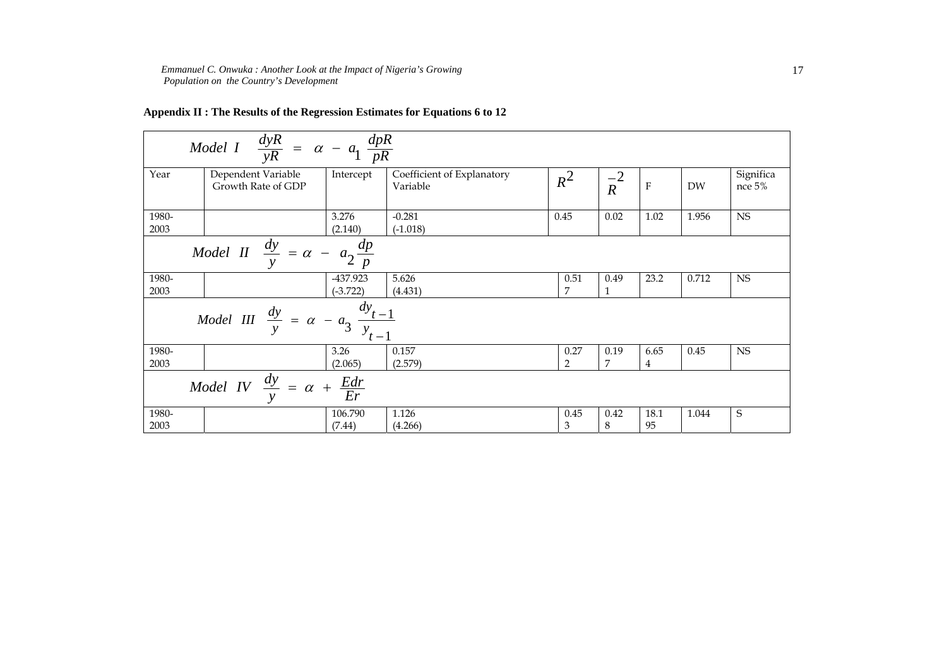*Emmanuel C. Onwuka : Another Look at the Impact of Nigeria's Growing Population on the Country's Development* 

| $\frac{dyR}{yR} = \alpha - a_1 \frac{dpR}{pR}$<br>Model I                       |                                                                          |                                          |                        |                                                              |                        |                      |            |           |                     |  |
|---------------------------------------------------------------------------------|--------------------------------------------------------------------------|------------------------------------------|------------------------|--------------------------------------------------------------|------------------------|----------------------|------------|-----------|---------------------|--|
| Year                                                                            |                                                                          | Dependent Variable<br>Growth Rate of GDP |                        | Coefficient of Explanatory<br>Intercept<br>$R^2$<br>Variable |                        | $\frac{-2}{R}$       | ${\bf F}$  | <b>DW</b> | Significa<br>nce 5% |  |
| 1980-<br>2003                                                                   |                                                                          |                                          | 3.276<br>(2.140)       | $-0.281$<br>$(-1.018)$                                       | 0.45                   | 0.02                 | 1.02       | 1.956     | NS                  |  |
|                                                                                 | $\frac{1}{Model \, II} \, \frac{dy}{y} = \alpha -$<br>$a_2 \frac{dp}{p}$ |                                          |                        |                                                              |                        |                      |            |           |                     |  |
| 1980-<br>2003                                                                   |                                                                          |                                          | -437.923<br>$(-3.722)$ | 5.626<br>(4.431)                                             | 0.51<br>7              | 0.49<br>$\mathbf{1}$ | 23.2       | 0.712     | NS                  |  |
| $\frac{dy}{t-1}$<br><i>Model III</i> $\frac{dy}{y} = \alpha - a_3$<br>$y_{t-1}$ |                                                                          |                                          |                        |                                                              |                        |                      |            |           |                     |  |
| 1980-<br>2003                                                                   |                                                                          |                                          | 3.26<br>(2.065)        | 0.157<br>(2.579)                                             | 0.27<br>$\overline{2}$ | 0.19<br>7            | 6.65<br>4  | 0.45      | $_{\rm NS}$         |  |
| Model IV $\frac{dy}{dx} = \alpha +$<br>$\frac{Edr}{Er}$                         |                                                                          |                                          |                        |                                                              |                        |                      |            |           |                     |  |
| 1980-<br>2003                                                                   |                                                                          |                                          | 106.790<br>(7.44)      | 1.126<br>(4.266)                                             | 0.45<br>$\mathfrak{B}$ | 0.42<br>8            | 18.1<br>95 | 1.044     | S                   |  |

## **Appendix II : The Results of the Regression Estimates for Equations 6 to 12**